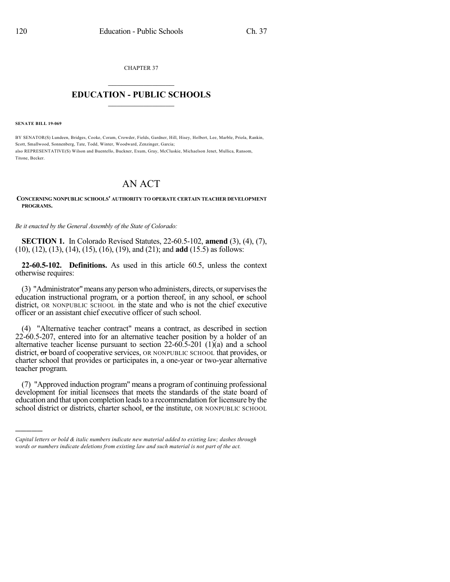CHAPTER 37

## $\mathcal{L}_\text{max}$  . The set of the set of the set of the set of the set of the set of the set of the set of the set of the set of the set of the set of the set of the set of the set of the set of the set of the set of the set **EDUCATION - PUBLIC SCHOOLS**  $\_$   $\_$   $\_$   $\_$   $\_$   $\_$   $\_$   $\_$   $\_$

**SENATE BILL 19-069**

)))))

BY SENATOR(S) Lundeen, Bridges, Cooke, Coram, Crowder, Fields, Gardner, Hill, Hisey, Holbert, Lee, Marble, Priola, Rankin, Scott, Smallwood, Sonnenberg, Tate, Todd, Winter, Woodward, Zenzinger, Garcia; also REPRESENTATIVE(S) Wilson and Buentello, Buckner, Exum, Gray, McCluskie, Michaelson Jenet, Mullica, Ransom, Titone, Becker.

## AN ACT

## **CONCERNING NONPUBLIC SCHOOLS' AUTHORITY TO OPERATE CERTAIN TEACHER DEVELOPMENT PROGRAMS.**

*Be it enacted by the General Assembly of the State of Colorado:*

**SECTION 1.** In Colorado Revised Statutes, 22-60.5-102, **amend** (3), (4), (7), (10), (12), (13), (14), (15), (16), (19), and (21); and **add** (15.5) as follows:

**22-60.5-102. Definitions.** As used in this article 60.5, unless the context otherwise requires:

(3) "Administrator"means any person who administers, directs, orsupervisesthe education instructional program, or a portion thereof, in any school, or school district, OR NONPUBLIC SCHOOL in the state and who is not the chief executive officer or an assistant chief executive officer of such school.

(4) "Alternative teacher contract" means a contract, as described in section 22-60.5-207, entered into for an alternative teacher position by a holder of an alternative teacher license pursuant to section  $22-60.5-201$  (1)(a) and a school district, or board of cooperative services, OR NONPUBLIC SCHOOL that provides, or charter school that provides or participates in, a one-year or two-year alternative teacher program.

(7) "Approved induction program" means a program of continuing professional development for initial licensees that meets the standards of the state board of education and that upon completion leads to a recommendation for licensure by the school district or districts, charter school, or the institute, OR NONPUBLIC SCHOOL

*Capital letters or bold & italic numbers indicate new material added to existing law; dashes through words or numbers indicate deletions from existing law and such material is not part of the act.*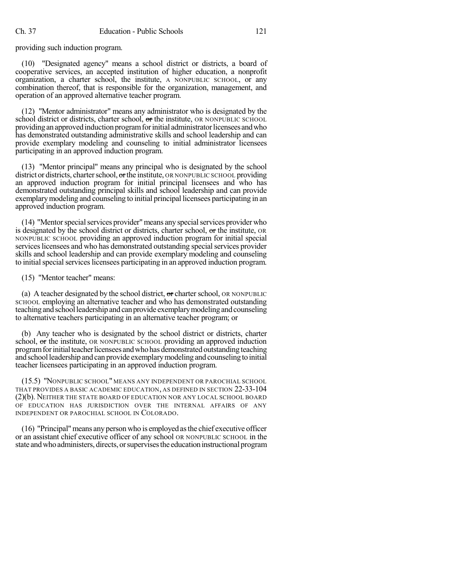providing such induction program.

(10) "Designated agency" means a school district or districts, a board of cooperative services, an accepted institution of higher education, a nonprofit organization, a charter school, the institute, A NONPUBLIC SCHOOL, or any combination thereof, that is responsible for the organization, management, and operation of an approved alternative teacher program.

(12) "Mentor administrator" means any administrator who is designated by the school district or districts, charter school, or the institute, OR NONPUBLIC SCHOOL providing an approved induction program for initial administrator licensees and who has demonstrated outstanding administrative skills and school leadership and can provide exemplary modeling and counseling to initial administrator licensees participating in an approved induction program.

(13) "Mentor principal" means any principal who is designated by the school district or districts, charter school, or the institute, OR NONPUBLIC SCHOOL providing an approved induction program for initial principal licensees and who has demonstrated outstanding principal skills and school leadership and can provide exemplarymodeling and counseling to initial principal licensees participating in an approved induction program.

(14) "Mentor special services provider" means any special services provider who is designated by the school district or districts, charter school, or the institute, OR NONPUBLIC SCHOOL providing an approved induction program for initial special services licensees and who has demonstrated outstanding special services provider skills and school leadership and can provide exemplary modeling and counseling to initial special services licensees participating in an approved induction program.

(15) "Mentor teacher" means:

(a) A teacher designated by the school district,  $\sigma$ r charter school, OR NONPUBLIC SCHOOL employing an alternative teacher and who has demonstrated outstanding teachingandschoolleadershipandcanprovide exemplarymodelingandcounseling to alternative teachers participating in an alternative teacher program; or

(b) Any teacher who is designated by the school district or districts, charter school, or the institute, OR NONPUBLIC SCHOOL providing an approved induction program for initial teacher licensees and who has demonstrated outstanding teaching and school leadership and can provide exemplary modeling and counseling to initial teacher licensees participating in an approved induction program.

(15.5) "NONPUBLIC SCHOOL" MEANS ANY INDEPENDENT OR PAROCHIAL SCHOOL THAT PROVIDES A BASIC ACADEMIC EDUCATION, AS DEFINED IN SECTION 22-33-104 (2)(b). NEITHER THE STATE BOARD OF EDUCATION NOR ANY LOCAL SCHOOL BOARD OF EDUCATION HAS JURISDICTION OVER THE INTERNAL AFFAIRS OF ANY INDEPENDENT OR PAROCHIAL SCHOOL IN COLORADO.

(16) "Principal"means anyperson who is employed asthe chief executive officer or an assistant chief executive officer of any school OR NONPUBLIC SCHOOL in the state and who administers, directs, or supervises the education instructional program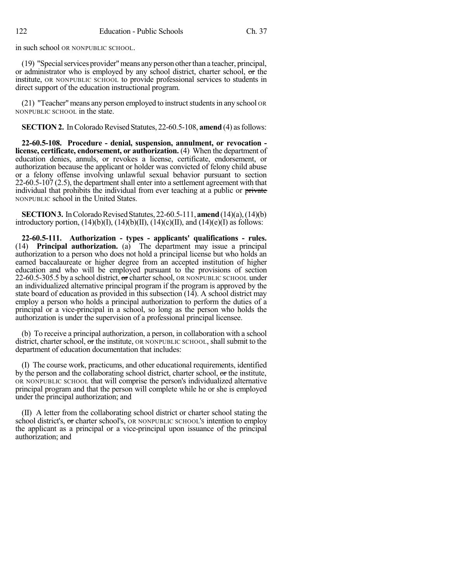in such school OR NONPUBLIC SCHOOL.

(19) "Specialservices provider"means anyperson otherthan a teacher, principal, or administrator who is employed by any school district, charter school, or the institute, OR NONPUBLIC SCHOOL to provide professional services to students in direct support of the education instructional program.

 $(21)$  "Teacher" means any person employed to instruct students in any school OR NONPUBLIC SCHOOL in the state.

**SECTION 2.** In Colorado Revised Statutes, 22-60.5-108, **amend** (4) as follows:

**22-60.5-108. Procedure - denial, suspension, annulment, or revocation license, certificate, endorsement, or authorization.** (4) When the department of education denies, annuls, or revokes a license, certificate, endorsement, or authorization because the applicant or holder was convicted of felony child abuse or a felony offense involving unlawful sexual behavior pursuant to section  $22-60.5-107(2.5)$ , the department shall enter into a settlement agreement with that individual that prohibits the individual from ever teaching at a public or private NONPUBLIC school in the United States.

**SECTION 3.** In Colorado Revised Statutes, 22-60.5-111, **amend** (14)(a), (14)(b) introductory portion,  $(14)(b)(I)$ ,  $(14)(b)(II)$ ,  $(14)(c)(II)$ , and  $(14)(e)(I)$  as follows:

**22-60.5-111. Authorization - types - applicants' qualifications - rules.** (14) **Principal authorization.** (a) The department may issue a principal authorization to a person who does not hold a principal license but who holds an earned baccalaureate or higher degree from an accepted institution of higher education and who will be employed pursuant to the provisions of section 22-60.5-305.5 by a school district, or charter school, OR NONPUBLIC SCHOOL under an individualized alternative principal program if the program is approved by the state board of education as provided in this subsection (14). A school district may employ a person who holds a principal authorization to perform the duties of a principal or a vice-principal in a school, so long as the person who holds the authorization is under the supervision of a professional principal licensee.

(b) To receive a principal authorization, a person, in collaboration with a school district, charter school,  $\sigma$  the institute, OR NONPUBLIC SCHOOL, shall submit to the department of education documentation that includes:

(I) The course work, practicums, and other educational requirements, identified by the person and the collaborating school district, charter school, or the institute, OR NONPUBLIC SCHOOL that will comprise the person's individualized alternative principal program and that the person will complete while he or she is employed under the principal authorization; and

(II) A letter from the collaborating school district or charter school stating the school district's, or charter school's, OR NONPUBLIC SCHOOL's intention to employ the applicant as a principal or a vice-principal upon issuance of the principal authorization; and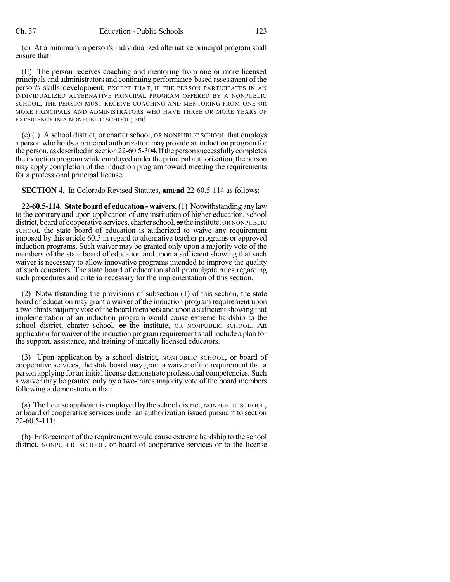(c) At a minimum, a person's individualized alternative principal program shall ensure that:

(II) The person receives coaching and mentoring from one or more licensed principals and administrators and continuing performance-based assessment of the person's skills development; EXCEPT THAT, IF THE PERSON PARTICIPATES IN AN INDIVIDUALIZED ALTERNATIVE PRINCIPAL PROGRAM OFFERED BY A NONPUBLIC SCHOOL, THE PERSON MUST RECEIVE COACHING AND MENTORING FROM ONE OR MORE PRINCIPALS AND ADMINISTRATORS WHO HAVE THREE OR MORE YEARS OF EXPERIENCE IN A NONPUBLIC SCHOOL; and

(e)  $(I)$  A school district, or charter school, OR NONPUBLIC SCHOOL that employs a person who holds a principal authorization may provide an induction programfor the person, as described in section 22-60.5-304. If the person successfully completes the induction programwhile employed underthe principal authorization, the person may apply completion of the induction program toward meeting the requirements for a professional principal license.

**SECTION 4.** In Colorado Revised Statutes, **amend** 22-60.5-114 as follows:

**22-60.5-114. State board of education - waivers.** (1) Notwithstanding any law to the contrary and upon application of any institution of higher education, school district, board of cooperative services, charter school,  $\sigma$ rthe institute, OR NONPUBLIC SCHOOL the state board of education is authorized to waive any requirement imposed by this article 60.5 in regard to alternative teacher programs or approved induction programs. Such waiver may be granted only upon a majority vote of the members of the state board of education and upon a sufficient showing that such waiver is necessary to allow innovative programs intended to improve the quality of such educators. The state board of education shall promulgate rules regarding such procedures and criteria necessary for the implementation of this section.

(2) Notwithstanding the provisions of subsection (1) of this section, the state board of education may grant a waiver of the induction program requirement upon a two-thirds majority vote of the board members and upon a sufficientshowing that implementation of an induction program would cause extreme hardship to the school district, charter school, or the institute, OR NONPUBLIC SCHOOL. An application for waiver ofthe induction programrequirementshall include a plan for the support, assistance, and training of initially licensed educators.

(3) Upon application by a school district, NONPUBLIC SCHOOL, or board of cooperative services, the state board may grant a waiver of the requirement that a person applying for an initial license demonstrate professional competencies. Such a waiver may be granted only by a two-thirds majority vote of the board members following a demonstration that:

(a) The license applicant is employed by the school district, NONPUBLIC SCHOOL, or board of cooperative services under an authorization issued pursuant to section 22-60.5-111;

(b) Enforcement of the requirement would cause extreme hardship to the school district, NONPUBLIC SCHOOL, or board of cooperative services or to the license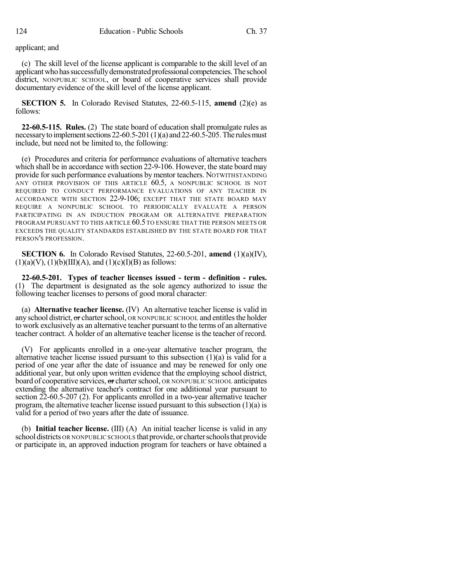applicant; and

(c) The skill level of the license applicant is comparable to the skill level of an applicant who has successfully demonstrated professional competencies. The school district, NONPUBLIC SCHOOL, or board of cooperative services shall provide documentary evidence of the skill level of the license applicant.

**SECTION 5.** In Colorado Revised Statutes, 22-60.5-115, **amend** (2)(e) as follows:

**22-60.5-115. Rules.** (2) The state board of education shall promulgate rules as necessary to implement sections 22-60.5-201(1)(a) and 22-60.5-205. The rules must include, but need not be limited to, the following:

(e) Procedures and criteria for performance evaluations of alternative teachers which shall be in accordance with section 22-9-106. However, the state board may provide for such performance evaluations by mentor teachers. NOTWITHSTANDING ANY OTHER PROVISION OF THIS ARTICLE 60.5, A NONPUBLIC SCHOOL IS NOT REQUIRED TO CONDUCT PERFORMANCE EVALUATIONS OF ANY TEACHER IN ACCORDANCE WITH SECTION 22-9-106; EXCEPT THAT THE STATE BOARD MAY REQUIRE A NONPUBLIC SCHOOL TO PERIODICALLY EVALUATE A PERSON PARTICIPATING IN AN INDUCTION PROGRAM OR ALTERNATIVE PREPARATION PROGRAM PURSUANT TO THIS ARTICLE 60.5 TO ENSURE THAT THE PERSON MEETS OR EXCEEDS THE QUALITY STANDARDS ESTABLISHED BY THE STATE BOARD FOR THAT PERSON'S PROFESSION.

**SECTION 6.** In Colorado Revised Statutes, 22-60.5-201, **amend** (1)(a)(IV),  $(1)(a)(V), (1)(b)(III)(A), and (1)(c)(I)(B)$  as follows:

**22-60.5-201. Types of teacher licenses issued - term - definition - rules.** (1) The department is designated as the sole agency authorized to issue the following teacher licenses to persons of good moral character:

(a) **Alternative teacher license.** (IV) An alternative teacher license is valid in any school district, or charter school, OR NONPUBLIC SCHOOL and entitles the holder to work exclusively as an alternative teacher pursuant to the terms of an alternative teacher contract. A holder of an alternative teacher license isthe teacher of record.

(V) For applicants enrolled in a one-year alternative teacher program, the alternative teacher license issued pursuant to this subsection  $(1)(a)$  is valid for a period of one year after the date of issuance and may be renewed for only one additional year, but only upon written evidence that the employing school district, board of cooperative services, or charter school, OR NONPUBLIC SCHOOL anticipates extending the alternative teacher's contract for one additional year pursuant to section 22-60.5-207 (2). For applicants enrolled in a two-year alternative teacher program, the alternative teacher license issued pursuant to this subsection (1)(a) is valid for a period of two years after the date of issuance.

(b) **Initial teacher license.** (III) (A) An initial teacher license is valid in any school districts OR NONPUBLIC SCHOOLS that provide, or charter schools that provide or participate in, an approved induction program for teachers or have obtained a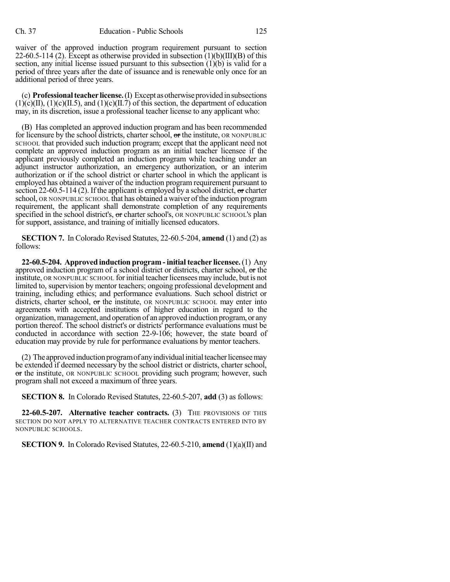waiver of the approved induction program requirement pursuant to section 22-60.5-114 (2). Except as otherwise provided in subsection  $(1)(b)(III)(B)$  of this section, any initial license issued pursuant to this subsection (1)(b) is valid for a period of three years after the date of issuance and is renewable only once for an additional period of three years.

(c) **Professionalteacher license.**(I) Except asotherwiseprovidedinsubsections  $(1)(c)(II), (1)(c)(II.5),$  and  $(1)(c)(II.7)$  of this section, the department of education may, in its discretion, issue a professional teacher license to any applicant who:

(B) Has completed an approved induction program and has been recommended for licensure by the school districts, charter school, or the institute, OR NONPUBLIC SCHOOL that provided such induction program; except that the applicant need not complete an approved induction program as an initial teacher licensee if the applicant previously completed an induction program while teaching under an adjunct instructor authorization, an emergency authorization, or an interim authorization or if the school district or charter school in which the applicant is employed has obtained a waiver of the induction program requirement pursuant to section 22-60.5-114 (2). If the applicant is employed by a school district,  $\sigma$  charter school, OR NONPUBLIC SCHOOL that has obtained a waiver of the induction program requirement, the applicant shall demonstrate completion of any requirements specified in the school district's, or charter school's, OR NONPUBLIC SCHOOL's plan for support, assistance, and training of initially licensed educators.

**SECTION 7.** In Colorado Revised Statutes, 22-60.5-204, **amend** (1) and (2) as follows:

**22-60.5-204. Approved induction program - initial teacher licensee.**(1) Any approved induction program of a school district or districts, charter school, or the institute, OR NONPUBLIC SCHOOL for initial teacher licensees may include, but is not limited to, supervision by mentor teachers; ongoing professional development and training, including ethics; and performance evaluations. Such school district or districts, charter school, or the institute, OR NONPUBLIC SCHOOL may enter into agreements with accepted institutions of higher education in regard to the organization,management, and operation of an approved induction program, or any portion thereof. The school district's or districts' performance evaluations must be conducted in accordance with section 22-9-106; however, the state board of education may provide by rule for performance evaluations by mentor teachers.

 $(2)$  The approved induction program of any individual initial teacher licensee may be extended if deemed necessary by the school district or districts, charter school, or the institute, OR NONPUBLIC SCHOOL providing such program; however, such program shall not exceed a maximum of three years.

**SECTION 8.** In Colorado Revised Statutes, 22-60.5-207, **add** (3) as follows:

**22-60.5-207. Alternative teacher contracts.** (3) THE PROVISIONS OF THIS SECTION DO NOT APPLY TO ALTERNATIVE TEACHER CONTRACTS ENTERED INTO BY NONPUBLIC SCHOOLS.

**SECTION 9.** In Colorado Revised Statutes, 22-60.5-210, **amend** (1)(a)(II) and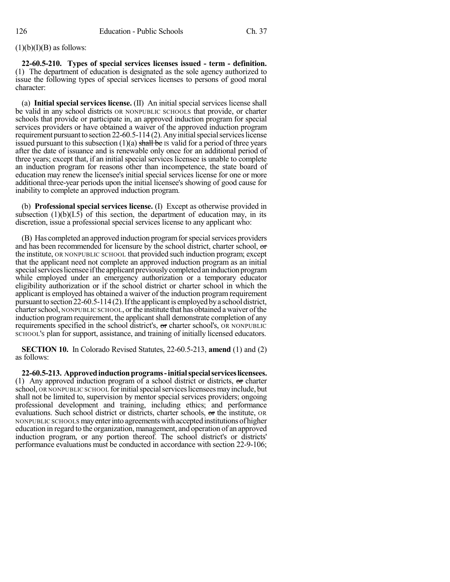## $(1)(b)(I)(B)$  as follows:

**22-60.5-210. Types of special services licenses issued - term - definition.** (1) The department of education is designated as the sole agency authorized to issue the following types of special services licenses to persons of good moral character:

(a) **Initial special services license.** (II) An initial special services license shall be valid in any school districts OR NONPUBLIC SCHOOLS that provide, or charter schools that provide or participate in, an approved induction program for special services providers or have obtained a waiver of the approved induction program requirement pursuant to section 22-60.5-114 (2). Any initial special services license issued pursuant to this subsection  $(1)(a)$  shall be IS valid for a period of three years after the date of issuance and is renewable only once for an additional period of three years; except that, if an initial special services licensee is unable to complete an induction program for reasons other than incompetence, the state board of education may renew the licensee's initial special services license for one or more additional three-year periods upon the initial licensee's showing of good cause for inability to complete an approved induction program.

(b) **Professional special services license.** (I) Except as otherwise provided in subsection  $(1)(b)(I.5)$  of this section, the department of education may, in its discretion, issue a professional special services license to any applicant who:

(B) Has completed an approved induction program for special services providers and has been recommended for licensure by the school district, charter school, or the institute, OR NONPUBLIC SCHOOL that provided such induction program; except that the applicant need not complete an approved induction program as an initial special services licensee if the applicant previously completed an induction program while employed under an emergency authorization or a temporary educator eligibility authorization or if the school district or charter school in which the applicant is employed has obtained a waiver of the induction program requirement pursuant to section 22-60.5-114 (2). If the applicant is employed by a school district, charterschool, NONPUBLIC SCHOOL, orthe institute that has obtained a waiver ofthe induction program requirement, the applicant shall demonstrate completion of any requirements specified in the school district's, or charter school's, OR NONPUBLIC SCHOOL'S plan for support, assistance, and training of initially licensed educators.

**SECTION 10.** In Colorado Revised Statutes, 22-60.5-213, **amend** (1) and (2) as follows:

**22-60.5-213. Approvedinductionprograms-initialspecialserviceslicensees.** (1) Any approved induction program of a school district or districts,  $\Theta$  charter school, OR NONPUBLIC SCHOOL for initial special services licensees may include, but shall not be limited to, supervision by mentor special services providers; ongoing professional development and training, including ethics; and performance evaluations. Such school district or districts, charter schools, or the institute, OR NONPUBLIC SCHOOLS mayenterinto agreementswithacceptedinstitutionsof higher education in regard to the organization, management, and operation of an approved induction program, or any portion thereof. The school district's or districts' performance evaluations must be conducted in accordance with section 22-9-106;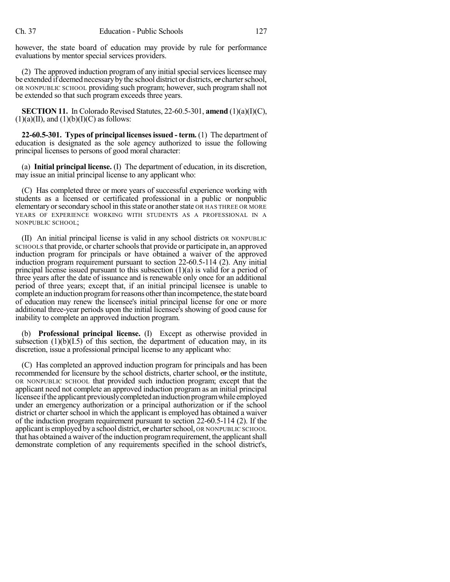however, the state board of education may provide by rule for performance evaluations by mentor special services providers.

(2) The approved induction program of any initial special services licensee may be extended if deemed necessary by the school district or districts, or charter school, OR NONPUBLIC SCHOOL providing such program; however, such program shall not be extended so that such program exceeds three years.

**SECTION 11.** In Colorado Revised Statutes, 22-60.5-301, **amend** (1)(a)(I)(C),  $(1)(a)(II)$ , and  $(1)(b)(I)(C)$  as follows:

**22-60.5-301. Types of principal licensesissued - term.** (1) The department of education is designated as the sole agency authorized to issue the following principal licenses to persons of good moral character:

(a) **Initial principal license.** (I) The department of education, in its discretion, may issue an initial principal license to any applicant who:

(C) Has completed three or more years of successful experience working with students as a licensed or certificated professional in a public or nonpublic elementary or secondary school in this state or another state OR HAS THREE OR MORE YEARS OF EXPERIENCE WORKING WITH STUDENTS AS A PROFESSIONAL IN A NONPUBLIC SCHOOL;

(II) An initial principal license is valid in any school districts OR NONPUBLIC SCHOOLS that provide, or charter schools that provide or participate in, an approved induction program for principals or have obtained a waiver of the approved induction program requirement pursuant to section 22-60.5-114 (2). Any initial principal license issued pursuant to this subsection (1)(a) is valid for a period of three years after the date of issuance and is renewable only once for an additional period of three years; except that, if an initial principal licensee is unable to complete an induction program for reasons other than incompetence, the state board of education may renew the licensee's initial principal license for one or more additional three-year periods upon the initial licensee's showing of good cause for inability to complete an approved induction program.

(b) **Professional principal license.** (I) Except as otherwise provided in subsection  $(1)(b)(I.5)$  of this section, the department of education may, in its discretion, issue a professional principal license to any applicant who:

(C) Has completed an approved induction program for principals and has been recommended for licensure by the school districts, charter school, or the institute, OR NONPUBLIC SCHOOL that provided such induction program; except that the applicant need not complete an approved induction program as an initial principal licensee ifthe applicant previouslycompletedaninductionprogramwhile employed under an emergency authorization or a principal authorization or if the school district or charter school in which the applicant is employed has obtained a waiver of the induction program requirement pursuant to section 22-60.5-114 (2). If the applicant is employed by a school district, or charter school, OR NONPUBLIC SCHOOL that has obtained a waiver of the induction program requirement, the applicant shall demonstrate completion of any requirements specified in the school district's,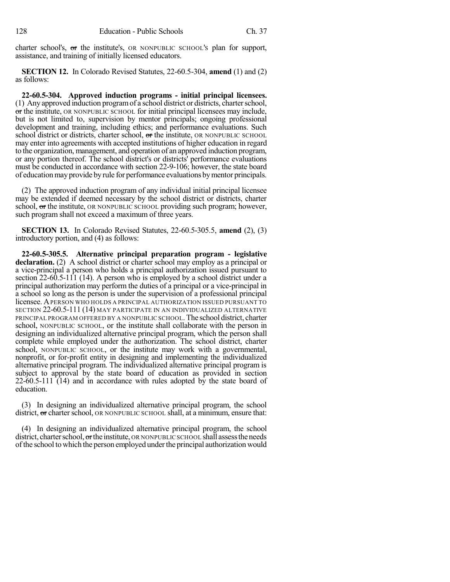charter school's, or the institute's, OR NONPUBLIC SCHOOL'S plan for support, assistance, and training of initially licensed educators.

**SECTION 12.** In Colorado Revised Statutes, 22-60.5-304, **amend** (1) and (2) as follows:

**22-60.5-304. Approved induction programs - initial principal licensees.** (1) Any approved induction programof a school district or districts, charterschool, or the institute, OR NONPUBLIC SCHOOL for initial principal licensees may include, but is not limited to, supervision by mentor principals; ongoing professional development and training, including ethics; and performance evaluations. Such school district or districts, charter school, or the institute, OR NONPUBLIC SCHOOL may enter into agreements with accepted institutions of higher education in regard to the organization, management, and operation of an approved induction program, or any portion thereof. The school district's or districts' performance evaluations must be conducted in accordance with section 22-9-106; however, the state board of educationmayprovide byrule for performance evaluations bymentor principals.

(2) The approved induction program of any individual initial principal licensee may be extended if deemed necessary by the school district or districts, charter school, or the institute, OR NONPUBLIC SCHOOL providing such program; however, such program shall not exceed a maximum of three years.

**SECTION 13.** In Colorado Revised Statutes, 22-60.5-305.5, **amend** (2), (3) introductory portion, and (4) as follows:

**22-60.5-305.5. Alternative principal preparation program - legislative declaration.** (2) A school district or charter school may employ as a principal or a vice-principal a person who holds a principal authorization issued pursuant to section 22-60.5-111 (14). A person who is employed by a school district under a principal authorization may perform the duties of a principal or a vice-principal in a school so long as the person is under the supervision of a professional principal licensee. APERSON WHO HOLDS A PRINCIPAL AUTHORIZATION ISSUED PURSUANT TO SECTION 22-60.5-111 (14) MAY PARTICIPATE IN AN INDIVIDUALIZED ALTERNATIVE PRINCIPAL PROGRAM OFFERED BY A NONPUBLIC SCHOOL.The school district, charter school, NONPUBLIC SCHOOL, or the institute shall collaborate with the person in designing an individualized alternative principal program, which the person shall complete while employed under the authorization. The school district, charter school, NONPUBLIC SCHOOL, or the institute may work with a governmental, nonprofit, or for-profit entity in designing and implementing the individualized alternative principal program. The individualized alternative principal program is subject to approval by the state board of education as provided in section  $22-60.5-111$  (14) and in accordance with rules adopted by the state board of education.

(3) In designing an individualized alternative principal program, the school district,  $\sigma$  charter school, OR NONPUBLIC SCHOOL shall, at a minimum, ensure that:

(4) In designing an individualized alternative principal program, the school district, charter school,  $\sigma$ r the institute, OR NONPUBLIC SCHOOL shall assess the needs ofthe school to which the person employed underthe principal authorization would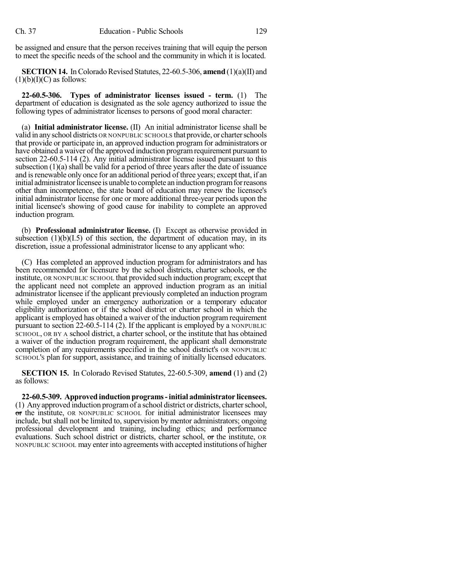be assigned and ensure that the person receives training that will equip the person to meet the specific needs of the school and the community in which it is located.

**SECTION 14.** In Colorado Revised Statutes, 22-60.5-306, **amend** (1)(a)(II) and  $(1)(b)(I)(C)$  as follows:

**22-60.5-306. Types of administrator licenses issued - term.** (1) The department of education is designated as the sole agency authorized to issue the following types of administrator licenses to persons of good moral character:

(a) **Initial administrator license.** (II) An initial administrator license shall be valid in anyschool districts OR NONPUBLIC SCHOOLS that provide, or charterschools that provide or participate in, an approved induction program for administrators or have obtained a waiver of the approved induction programrequirement pursuant to section 22-60.5-114 (2). Any initial administrator license issued pursuant to this subsection  $(1)(a)$  shall be valid for a period of three years after the date of issuance and is renewable only once for an additional period of three years; except that, if an initial administrator licensee is unable to complete an induction program for reasons other than incompetence, the state board of education may renew the licensee's initial administrator license for one or more additional three-year periods upon the initial licensee's showing of good cause for inability to complete an approved induction program.

(b) **Professional administrator license.** (I) Except as otherwise provided in subsection  $(1)(b)(I.5)$  of this section, the department of education may, in its discretion, issue a professional administrator license to any applicant who:

(C) Has completed an approved induction program for administrators and has been recommended for licensure by the school districts, charter schools, or the institute, OR NONPUBLIC SCHOOL that provided such induction program; except that the applicant need not complete an approved induction program as an initial administrator licensee if the applicant previously completed an induction program while employed under an emergency authorization or a temporary educator eligibility authorization or if the school district or charter school in which the applicant is employed has obtained a waiver of the induction program requirement pursuant to section 22-60.5-114 (2). If the applicant is employed by a NONPUBLIC SCHOOL, OR BY A school district, a charter school, or the institute that has obtained a waiver of the induction program requirement, the applicant shall demonstrate completion of any requirements specified in the school district's OR NONPUBLIC SCHOOL'S plan for support, assistance, and training of initially licensed educators.

**SECTION 15.** In Colorado Revised Statutes, 22-60.5-309, **amend** (1) and (2) as follows:

**22-60.5-309. Approved induction programs-initial administrator licensees.** (1) Anyapproved induction programof a school district or districts, charterschool, or the institute, OR NONPUBLIC SCHOOL for initial administrator licensees may include, but shall not be limited to, supervision by mentor administrators; ongoing professional development and training, including ethics; and performance evaluations. Such school district or districts, charter school, or the institute, OR NONPUBLIC SCHOOL may enter into agreements with accepted institutions of higher